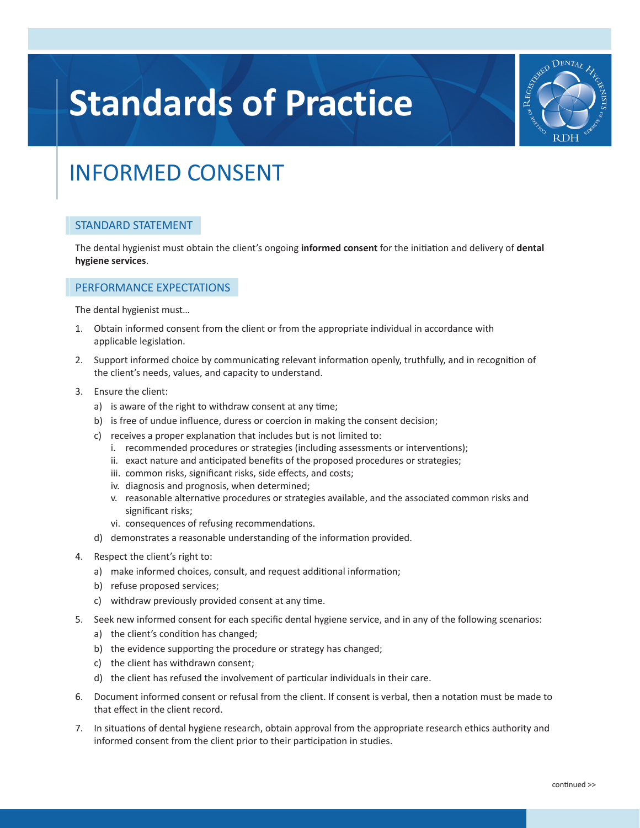# **Standards of Practice**



# INFORMED CONSENT

### STANDARD STATEMENT

The dental hygienist must obtain the client's ongoing **informed consent** for the initiation and delivery of **dental hygiene services**.

### PERFORMANCE EXPECTATIONS

The dental hygienist must…

- 1. Obtain informed consent from the client or from the appropriate individual in accordance with applicable legislation.
- 2. Support informed choice by communicating relevant information openly, truthfully, and in recognition of the client's needs, values, and capacity to understand.
- 3. Ensure the client:
	- a) is aware of the right to withdraw consent at any time;
	- b) is free of undue influence, duress or coercion in making the consent decision;
	- c) receives a proper explanation that includes but is not limited to:
		- i. recommended procedures or strategies (including assessments or interventions);
		- ii. exact nature and anticipated benefits of the proposed procedures or strategies;
		- iii. common risks, significant risks, side effects, and costs;
		- iv. diagnosis and prognosis, when determined;
		- v. reasonable alternative procedures or strategies available, and the associated common risks and significant risks;
		- vi. consequences of refusing recommendations.
	- d) demonstrates a reasonable understanding of the information provided.
- 4. Respect the client's right to:
	- a) make informed choices, consult, and request additional information;
	- b) refuse proposed services;
	- c) withdraw previously provided consent at any time.
- 5. Seek new informed consent for each specific dental hygiene service, and in any of the following scenarios:
	- a) the client's condition has changed;
	- b) the evidence supporting the procedure or strategy has changed;
	- c) the client has withdrawn consent;
	- d) the client has refused the involvement of particular individuals in their care.
- 6. Document informed consent or refusal from the client. If consent is verbal, then a notation must be made to that effect in the client record.
- 7. In situations of dental hygiene research, obtain approval from the appropriate research ethics authority and informed consent from the client prior to their participation in studies.